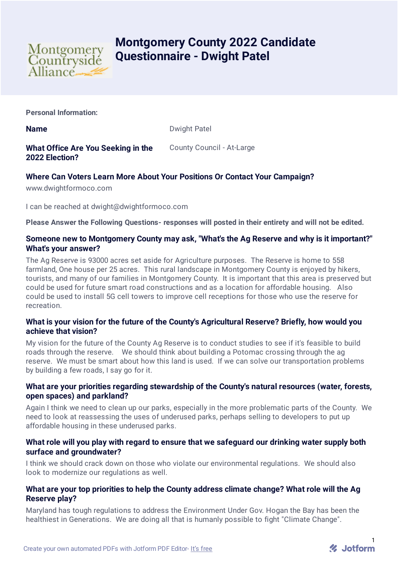

# **Montgomery County 2022 Candidate Questionnaire - Dwight Patel**

**Personal Information:**

**Name** Dwight Patel

# **What Office Are You Seeking in the 2022 Election?**

County Council - At-Large

## **Where Can Voters Learn More About Your Positions Or Contact Your Campaign?**

www.dwightformoco.com

I can be reached at dwight@dwightformoco.com

**Please Answer the Following Questions- responses will posted in their entirety and will not be edited.**

## **Someone new to Montgomery County may ask, "What's the Ag Reserve and why is it important?" What's your answer?**

The Ag Reserve is 93000 acres set aside for Agriculture purposes. The Reserve is home to 558 farmland, One house per 25 acres. This rural landscape in Montgomery County is enjoyed by hikers, tourists, and many of our families in Montgomery County. It is important that this area is preserved but could be used for future smart road constructions and as a location for affordable housing. Also could be used to install 5G cell towers to improve cell receptions for those who use the reserve for recreation.

## **What is your vision for the future of the County's Agricultural Reserve? Briefly, how would you achieve that vision?**

My vision for the future of the County Ag Reserve is to conduct studies to see if it's feasible to build roads through the reserve. We should think about building a Potomac crossing through the ag reserve. We must be smart about how this land is used. If we can solve our transportation problems by building a few roads, I say go for it.

## **What are your priorities regarding stewardship of the County's natural resources (water, forests, open spaces) and parkland?**

Again I think we need to clean up our parks, especially in the more problematic parts of the County. We need to look at reassessing the uses of underused parks, perhaps selling to developers to put up affordable housing in these underused parks.

## **What role will you play with regard to ensure that we safeguard our drinking water supply both surface and groundwater?**

I think we should crack down on those who violate our environmental regulations. We should also look to modernize our regulations as well.

## **What are your top priorities to help the County address climate change? What role will the Ag Reserve play?**

Maryland has tough regulations to address the Environment Under Gov. Hogan the Bay has been the healthiest in Generations. We are doing all that is humanly possible to fight "Climate Change".